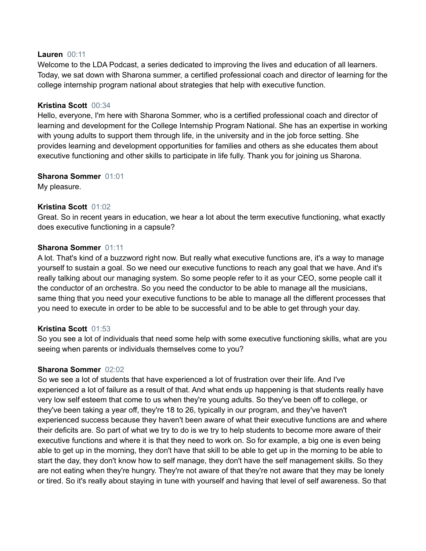### **Lauren** 00:11

Welcome to the LDA Podcast, a series dedicated to improving the lives and education of all learners. Today, we sat down with Sharona summer, a certified professional coach and director of learning for the college internship program national about strategies that help with executive function.

### **Kristina Scott** 00:34

Hello, everyone, I'm here with Sharona Sommer, who is a certified professional coach and director of learning and development for the College Internship Program National. She has an expertise in working with young adults to support them through life, in the university and in the job force setting. She provides learning and development opportunities for families and others as she educates them about executive functioning and other skills to participate in life fully. Thank you for joining us Sharona.

### **Sharona Sommer** 01:01

My pleasure.

## **Kristina Scott** 01:02

Great. So in recent years in education, we hear a lot about the term executive functioning, what exactly does executive functioning in a capsule?

### **Sharona Sommer** 01:11

A lot. That's kind of a buzzword right now. But really what executive functions are, it's a way to manage yourself to sustain a goal. So we need our executive functions to reach any goal that we have. And it's really talking about our managing system. So some people refer to it as your CEO, some people call it the conductor of an orchestra. So you need the conductor to be able to manage all the musicians, same thing that you need your executive functions to be able to manage all the different processes that you need to execute in order to be able to be successful and to be able to get through your day.

## **Kristina Scott** 01:53

So you see a lot of individuals that need some help with some executive functioning skills, what are you seeing when parents or individuals themselves come to you?

## **Sharona Sommer** 02:02

So we see a lot of students that have experienced a lot of frustration over their life. And I've experienced a lot of failure as a result of that. And what ends up happening is that students really have very low self esteem that come to us when they're young adults. So they've been off to college, or they've been taking a year off, they're 18 to 26, typically in our program, and they've haven't experienced success because they haven't been aware of what their executive functions are and where their deficits are. So part of what we try to do is we try to help students to become more aware of their executive functions and where it is that they need to work on. So for example, a big one is even being able to get up in the morning, they don't have that skill to be able to get up in the morning to be able to start the day, they don't know how to self manage, they don't have the self management skills. So they are not eating when they're hungry. They're not aware of that they're not aware that they may be lonely or tired. So it's really about staying in tune with yourself and having that level of self awareness. So that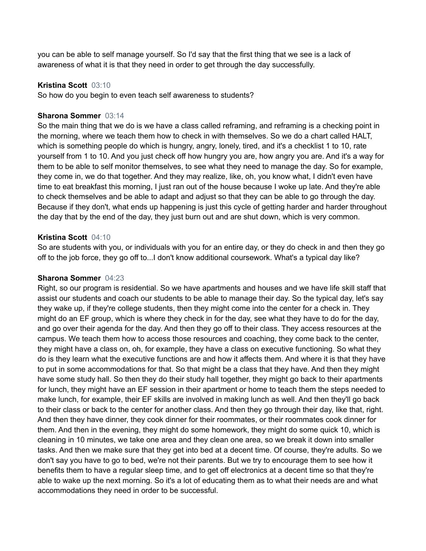you can be able to self manage yourself. So I'd say that the first thing that we see is a lack of awareness of what it is that they need in order to get through the day successfully.

### **Kristina Scott** 03:10

So how do you begin to even teach self awareness to students?

### **Sharona Sommer** 03:14

So the main thing that we do is we have a class called reframing, and reframing is a checking point in the morning, where we teach them how to check in with themselves. So we do a chart called HALT, which is something people do which is hungry, angry, lonely, tired, and it's a checklist 1 to 10, rate yourself from 1 to 10. And you just check off how hungry you are, how angry you are. And it's a way for them to be able to self monitor themselves, to see what they need to manage the day. So for example, they come in, we do that together. And they may realize, like, oh, you know what, I didn't even have time to eat breakfast this morning, I just ran out of the house because I woke up late. And they're able to check themselves and be able to adapt and adjust so that they can be able to go through the day. Because if they don't, what ends up happening is just this cycle of getting harder and harder throughout the day that by the end of the day, they just burn out and are shut down, which is very common.

### **Kristina Scott** 04:10

So are students with you, or individuals with you for an entire day, or they do check in and then they go off to the job force, they go off to...I don't know additional coursework. What's a typical day like?

### **Sharona Sommer** 04:23

Right, so our program is residential. So we have apartments and houses and we have life skill staff that assist our students and coach our students to be able to manage their day. So the typical day, let's say they wake up, if they're college students, then they might come into the center for a check in. They might do an EF group, which is where they check in for the day, see what they have to do for the day, and go over their agenda for the day. And then they go off to their class. They access resources at the campus. We teach them how to access those resources and coaching, they come back to the center, they might have a class on, oh, for example, they have a class on executive functioning. So what they do is they learn what the executive functions are and how it affects them. And where it is that they have to put in some accommodations for that. So that might be a class that they have. And then they might have some study hall. So then they do their study hall together, they might go back to their apartments for lunch, they might have an EF session in their apartment or home to teach them the steps needed to make lunch, for example, their EF skills are involved in making lunch as well. And then they'll go back to their class or back to the center for another class. And then they go through their day, like that, right. And then they have dinner, they cook dinner for their roommates, or their roommates cook dinner for them. And then in the evening, they might do some homework, they might do some quick 10, which is cleaning in 10 minutes, we take one area and they clean one area, so we break it down into smaller tasks. And then we make sure that they get into bed at a decent time. Of course, they're adults. So we don't say you have to go to bed, we're not their parents. But we try to encourage them to see how it benefits them to have a regular sleep time, and to get off electronics at a decent time so that they're able to wake up the next morning. So it's a lot of educating them as to what their needs are and what accommodations they need in order to be successful.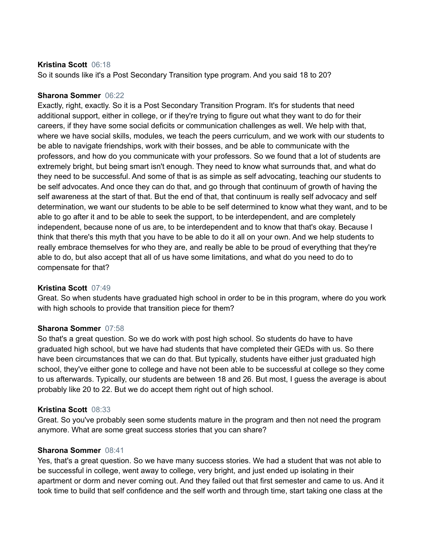### **Kristina Scott** 06:18

So it sounds like it's a Post Secondary Transition type program. And you said 18 to 20?

## **Sharona Sommer** 06:22

Exactly, right, exactly. So it is a Post Secondary Transition Program. It's for students that need additional support, either in college, or if they're trying to figure out what they want to do for their careers, if they have some social deficits or communication challenges as well. We help with that, where we have social skills, modules, we teach the peers curriculum, and we work with our students to be able to navigate friendships, work with their bosses, and be able to communicate with the professors, and how do you communicate with your professors. So we found that a lot of students are extremely bright, but being smart isn't enough. They need to know what surrounds that, and what do they need to be successful. And some of that is as simple as self advocating, teaching our students to be self advocates. And once they can do that, and go through that continuum of growth of having the self awareness at the start of that. But the end of that, that continuum is really self advocacy and self determination, we want our students to be able to be self determined to know what they want, and to be able to go after it and to be able to seek the support, to be interdependent, and are completely independent, because none of us are, to be interdependent and to know that that's okay. Because I think that there's this myth that you have to be able to do it all on your own. And we help students to really embrace themselves for who they are, and really be able to be proud of everything that they're able to do, but also accept that all of us have some limitations, and what do you need to do to compensate for that?

## **Kristina Scott** 07:49

Great. So when students have graduated high school in order to be in this program, where do you work with high schools to provide that transition piece for them?

#### **Sharona Sommer** 07:58

So that's a great question. So we do work with post high school. So students do have to have graduated high school, but we have had students that have completed their GEDs with us. So there have been circumstances that we can do that. But typically, students have either just graduated high school, they've either gone to college and have not been able to be successful at college so they come to us afterwards. Typically, our students are between 18 and 26. But most, I guess the average is about probably like 20 to 22. But we do accept them right out of high school.

#### **Kristina Scott** 08:33

Great. So you've probably seen some students mature in the program and then not need the program anymore. What are some great success stories that you can share?

#### **Sharona Sommer** 08:41

Yes, that's a great question. So we have many success stories. We had a student that was not able to be successful in college, went away to college, very bright, and just ended up isolating in their apartment or dorm and never coming out. And they failed out that first semester and came to us. And it took time to build that self confidence and the self worth and through time, start taking one class at the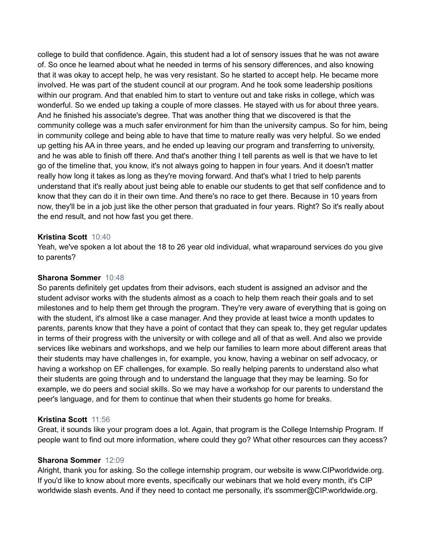college to build that confidence. Again, this student had a lot of sensory issues that he was not aware of. So once he learned about what he needed in terms of his sensory differences, and also knowing that it was okay to accept help, he was very resistant. So he started to accept help. He became more involved. He was part of the student council at our program. And he took some leadership positions within our program. And that enabled him to start to venture out and take risks in college, which was wonderful. So we ended up taking a couple of more classes. He stayed with us for about three years. And he finished his associate's degree. That was another thing that we discovered is that the community college was a much safer environment for him than the university campus. So for him, being in community college and being able to have that time to mature really was very helpful. So we ended up getting his AA in three years, and he ended up leaving our program and transferring to university, and he was able to finish off there. And that's another thing I tell parents as well is that we have to let go of the timeline that, you know, it's not always going to happen in four years. And it doesn't matter really how long it takes as long as they're moving forward. And that's what I tried to help parents understand that it's really about just being able to enable our students to get that self confidence and to know that they can do it in their own time. And there's no race to get there. Because in 10 years from now, they'll be in a job just like the other person that graduated in four years. Right? So it's really about the end result, and not how fast you get there.

### **Kristina Scott** 10:40

Yeah, we've spoken a lot about the 18 to 26 year old individual, what wraparound services do you give to parents?

### **Sharona Sommer** 10:48

So parents definitely get updates from their advisors, each student is assigned an advisor and the student advisor works with the students almost as a coach to help them reach their goals and to set milestones and to help them get through the program. They're very aware of everything that is going on with the student, it's almost like a case manager. And they provide at least twice a month updates to parents, parents know that they have a point of contact that they can speak to, they get regular updates in terms of their progress with the university or with college and all of that as well. And also we provide services like webinars and workshops, and we help our families to learn more about different areas that their students may have challenges in, for example, you know, having a webinar on self advocacy, or having a workshop on EF challenges, for example. So really helping parents to understand also what their students are going through and to understand the language that they may be learning. So for example, we do peers and social skills. So we may have a workshop for our parents to understand the peer's language, and for them to continue that when their students go home for breaks.

## **Kristina Scott** 11:56

Great, it sounds like your program does a lot. Again, that program is the College Internship Program. If people want to find out more information, where could they go? What other resources can they access?

# **Sharona Sommer** 12:09

Alright, thank you for asking. So the college internship program, our website is www.CIPworldwide.org. If you'd like to know about more events, specifically our webinars that we hold every month, it's CIP worldwide slash events. And if they need to contact me personally, it's ssommer@CIP.worldwide.org.